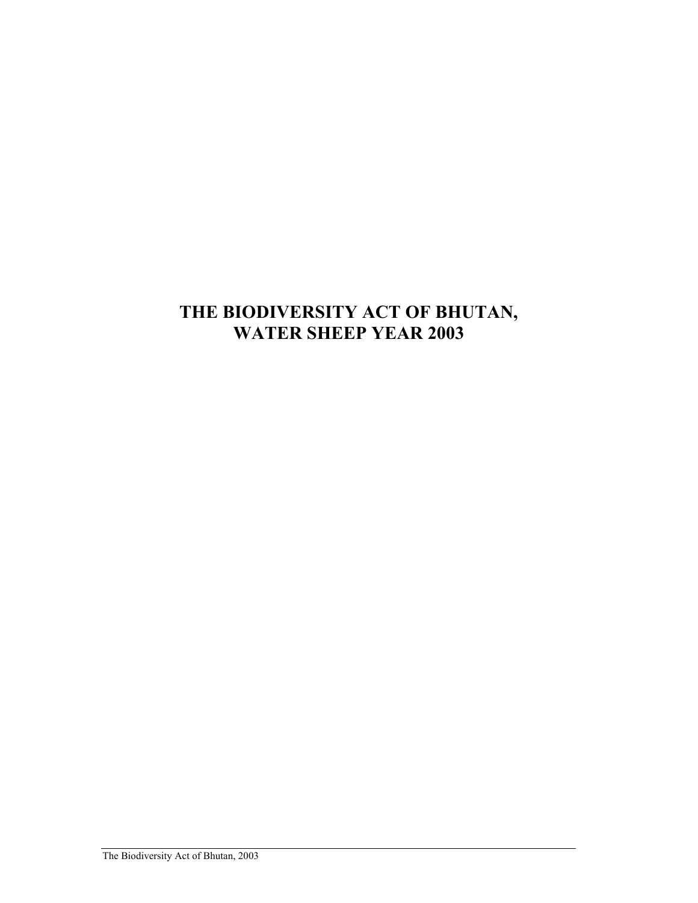# **THE BIODIVERSITY ACT OF BHUTAN, WATER SHEEP YEAR 2003**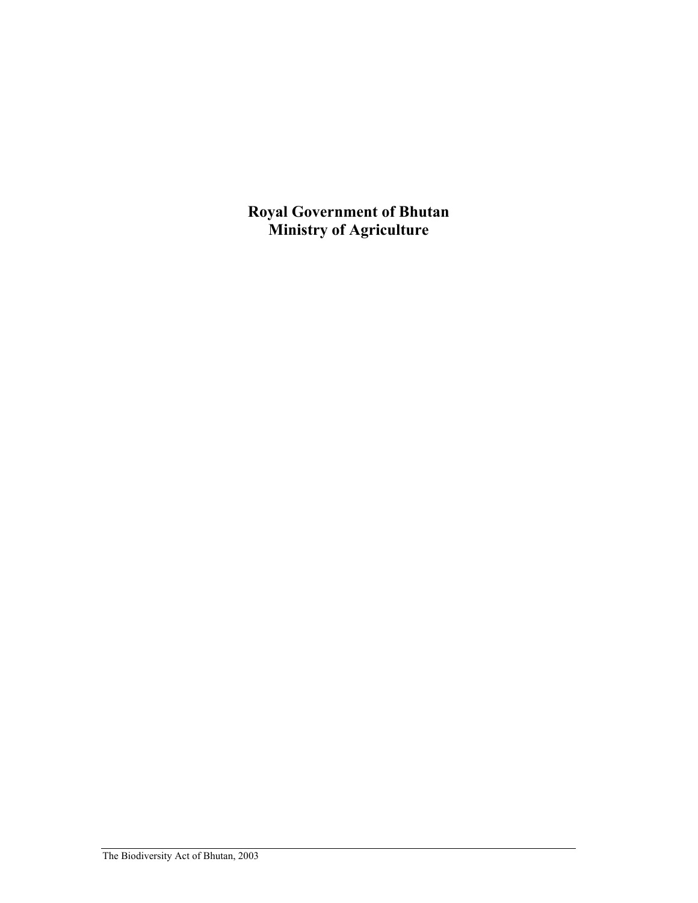**Royal Government of Bhutan Ministry of Agriculture**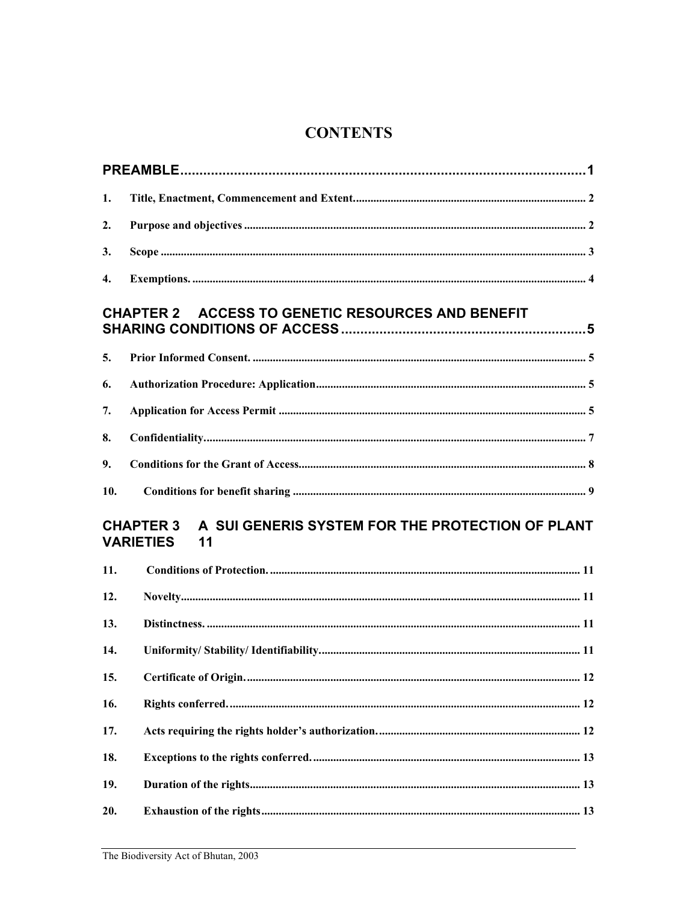# **CONTENTS**

| 1.                                                                                             |  |  |  |  |
|------------------------------------------------------------------------------------------------|--|--|--|--|
| 2.                                                                                             |  |  |  |  |
| 3.                                                                                             |  |  |  |  |
| 4.                                                                                             |  |  |  |  |
| <b>CHAPTER 2 ACCESS TO GENETIC RESOURCES AND BENEFIT</b>                                       |  |  |  |  |
| 5.                                                                                             |  |  |  |  |
| 6.                                                                                             |  |  |  |  |
| 7.                                                                                             |  |  |  |  |
| 8.                                                                                             |  |  |  |  |
| 9.                                                                                             |  |  |  |  |
| 10.                                                                                            |  |  |  |  |
| A SUI GENERIS SYSTEM FOR THE PROTECTION OF PLANT<br><b>CHAPTER 3</b><br><b>VARIETIES</b><br>11 |  |  |  |  |
| 11.                                                                                            |  |  |  |  |
| 12.                                                                                            |  |  |  |  |
| 13.                                                                                            |  |  |  |  |
| 14.                                                                                            |  |  |  |  |
| 15.                                                                                            |  |  |  |  |
| 16.                                                                                            |  |  |  |  |
| 17.                                                                                            |  |  |  |  |
| 18.                                                                                            |  |  |  |  |
| 19.                                                                                            |  |  |  |  |
| 20.                                                                                            |  |  |  |  |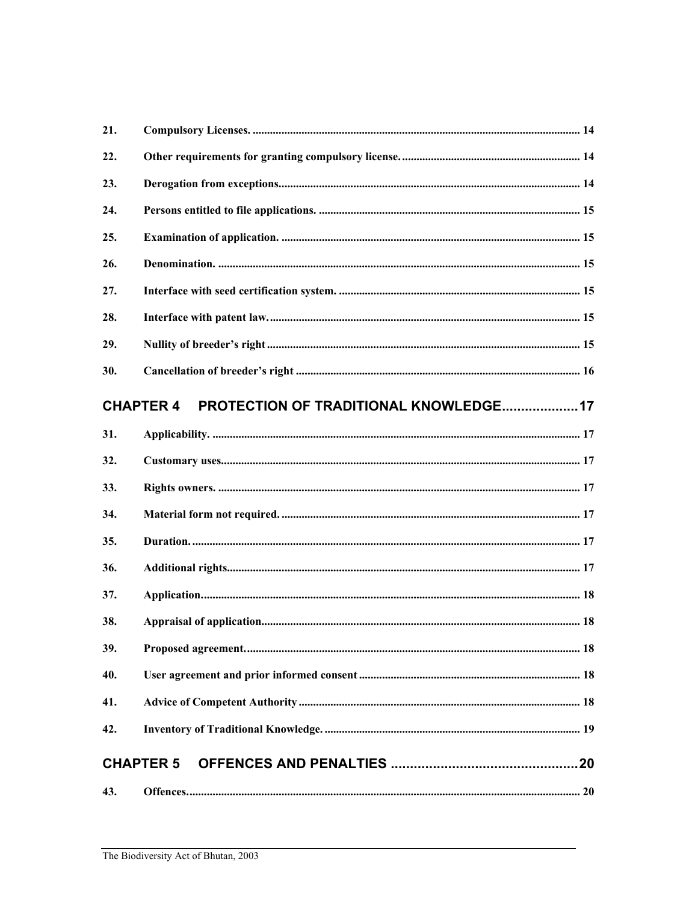| 21. |                                                                  |  |
|-----|------------------------------------------------------------------|--|
| 22. |                                                                  |  |
| 23. |                                                                  |  |
| 24. |                                                                  |  |
| 25. |                                                                  |  |
| 26. |                                                                  |  |
| 27. |                                                                  |  |
| 28. |                                                                  |  |
| 29. |                                                                  |  |
| 30. |                                                                  |  |
|     | <b>PROTECTION OF TRADITIONAL KNOWLEDGE17</b><br><b>CHAPTER 4</b> |  |
| 31. |                                                                  |  |
| 32. |                                                                  |  |
| 33. |                                                                  |  |
| 34. |                                                                  |  |
| 35. |                                                                  |  |
| 36. |                                                                  |  |
| 37. |                                                                  |  |
| 38. |                                                                  |  |
| 39. |                                                                  |  |
| 40. |                                                                  |  |
| 41. |                                                                  |  |
| 42. |                                                                  |  |
|     | <b>CHAPTER 5</b>                                                 |  |
| 43. |                                                                  |  |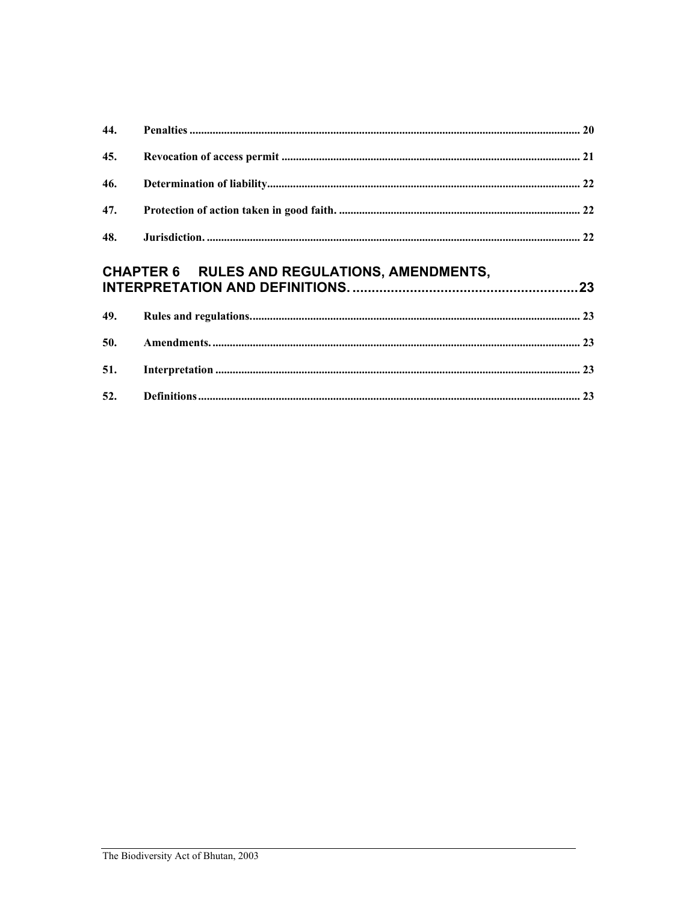| 45. |                                              |  |
|-----|----------------------------------------------|--|
| 46. |                                              |  |
|     |                                              |  |
|     |                                              |  |
|     | CHAPTER 6 RULES AND REGULATIONS, AMENDMENTS, |  |
|     |                                              |  |
|     |                                              |  |
|     |                                              |  |

 $52.$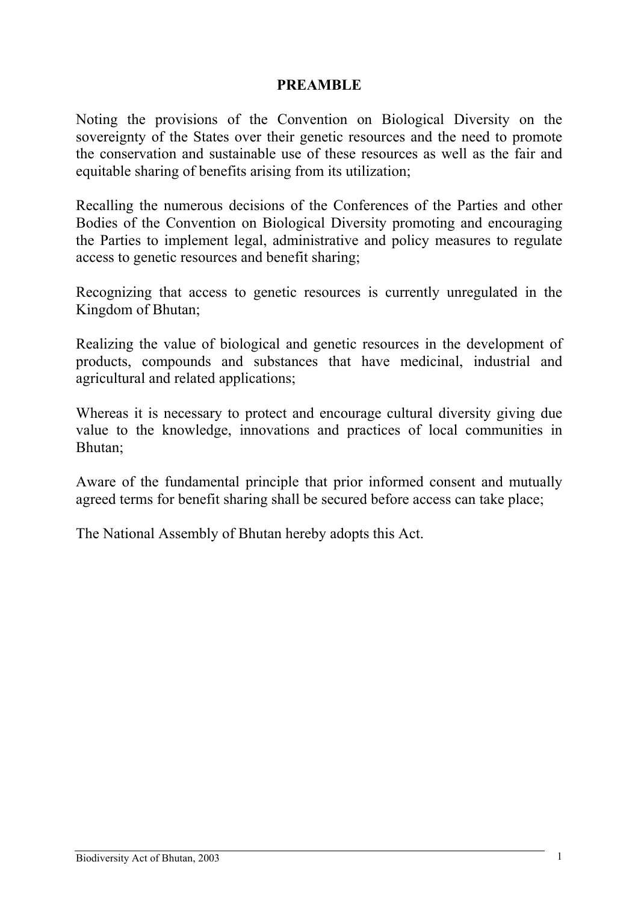### **PREAMBLE**

<span id="page-5-0"></span>Noting the provisions of the Convention on Biological Diversity on the sovereignty of the States over their genetic resources and the need to promote the conservation and sustainable use of these resources as well as the fair and equitable sharing of benefits arising from its utilization;

Recalling the numerous decisions of the Conferences of the Parties and other Bodies of the Convention on Biological Diversity promoting and encouraging the Parties to implement legal, administrative and policy measures to regulate access to genetic resources and benefit sharing;

Recognizing that access to genetic resources is currently unregulated in the Kingdom of Bhutan;

Realizing the value of biological and genetic resources in the development of products, compounds and substances that have medicinal, industrial and agricultural and related applications;

Whereas it is necessary to protect and encourage cultural diversity giving due value to the knowledge, innovations and practices of local communities in Bhutan;

Aware of the fundamental principle that prior informed consent and mutually agreed terms for benefit sharing shall be secured before access can take place;

The National Assembly of Bhutan hereby adopts this Act.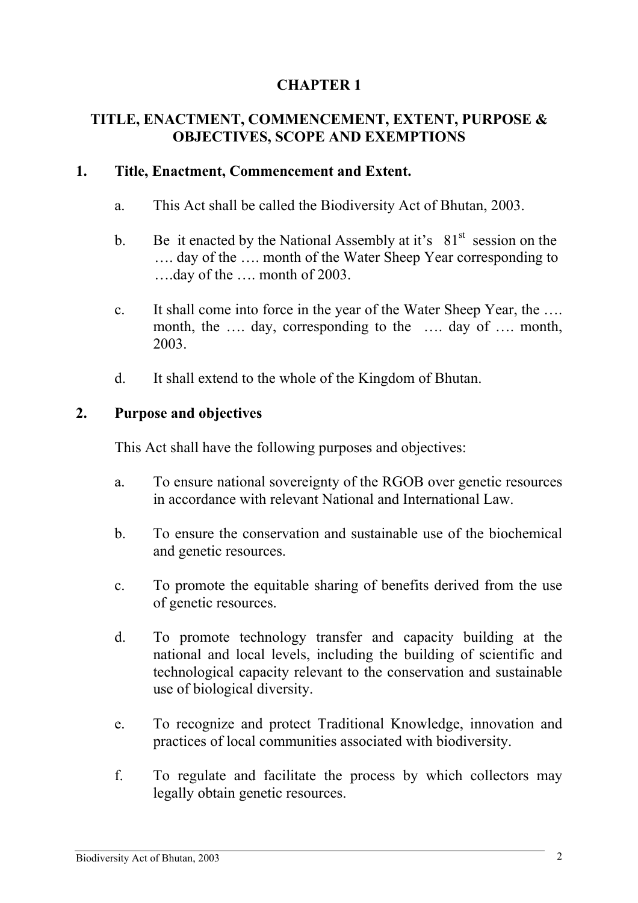# <span id="page-6-0"></span>**TITLE, ENACTMENT, COMMENCEMENT, EXTENT, PURPOSE & OBJECTIVES, SCOPE AND EXEMPTIONS**

# **1. Title, Enactment, Commencement and Extent.**

- a. This Act shall be called the Biodiversity Act of Bhutan, 2003.
- b. Be it enacted by the National Assembly at it's  $81<sup>st</sup>$  session on the …. day of the …. month of the Water Sheep Year corresponding to ….day of the …. month of 2003.
- c. It shall come into force in the year of the Water Sheep Year, the …. month, the .... day, corresponding to the .... day of .... month, 2003.
- d. It shall extend to the whole of the Kingdom of Bhutan.

# **2. Purpose and objectives**

This Act shall have the following purposes and objectives:

- a. To ensure national sovereignty of the RGOB over genetic resources in accordance with relevant National and International Law.
- b. To ensure the conservation and sustainable use of the biochemical and genetic resources.
- c. To promote the equitable sharing of benefits derived from the use of genetic resources.
- d. To promote technology transfer and capacity building at the national and local levels, including the building of scientific and technological capacity relevant to the conservation and sustainable use of biological diversity.
- e. To recognize and protect Traditional Knowledge, innovation and practices of local communities associated with biodiversity.
- f. To regulate and facilitate the process by which collectors may legally obtain genetic resources.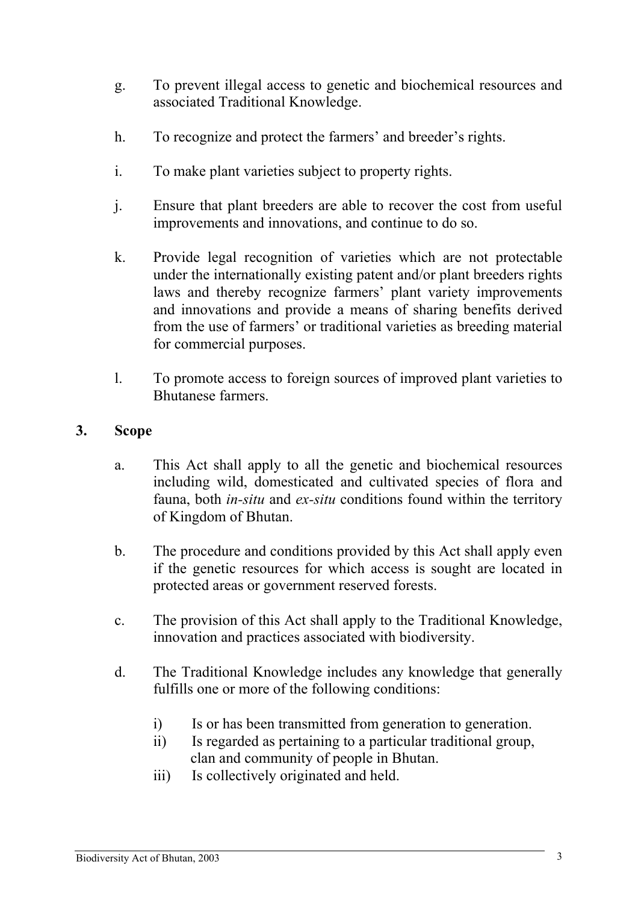- <span id="page-7-0"></span>g. To prevent illegal access to genetic and biochemical resources and associated Traditional Knowledge.
- h. To recognize and protect the farmers' and breeder's rights.
- i. To make plant varieties subject to property rights.
- j. Ensure that plant breeders are able to recover the cost from useful improvements and innovations, and continue to do so.
- k. Provide legal recognition of varieties which are not protectable under the internationally existing patent and/or plant breeders rights laws and thereby recognize farmers' plant variety improvements and innovations and provide a means of sharing benefits derived from the use of farmers' or traditional varieties as breeding material for commercial purposes.
- l. To promote access to foreign sources of improved plant varieties to Bhutanese farmers.

# **3. Scope**

- a. This Act shall apply to all the genetic and biochemical resources including wild, domesticated and cultivated species of flora and fauna, both *in-situ* and *ex-situ* conditions found within the territory of Kingdom of Bhutan.
- b. The procedure and conditions provided by this Act shall apply even if the genetic resources for which access is sought are located in protected areas or government reserved forests.
- c. The provision of this Act shall apply to the Traditional Knowledge, innovation and practices associated with biodiversity.
- d. The Traditional Knowledge includes any knowledge that generally fulfills one or more of the following conditions:
	- i) Is or has been transmitted from generation to generation.
	- ii) Is regarded as pertaining to a particular traditional group, clan and community of people in Bhutan.
	- iii) Is collectively originated and held.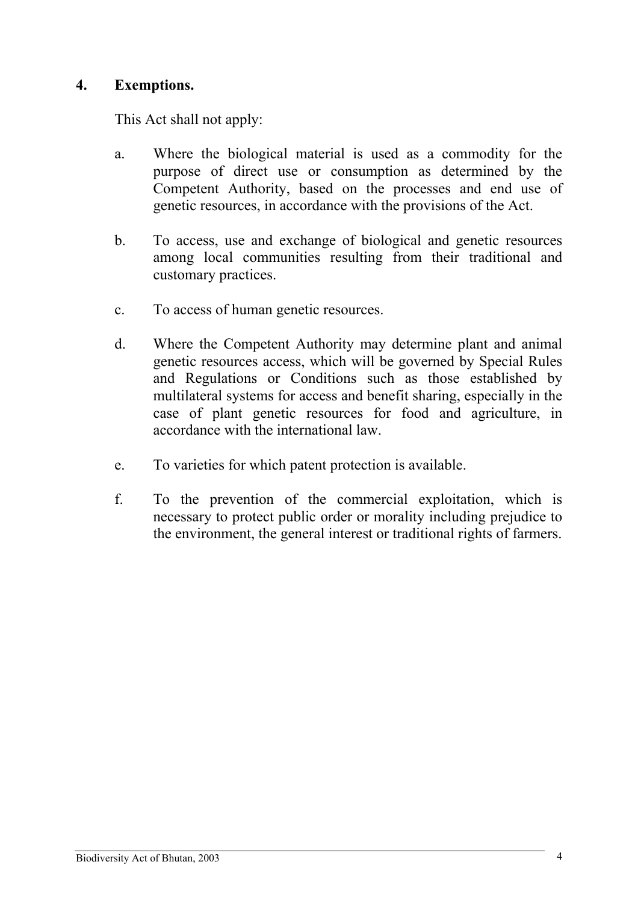# <span id="page-8-0"></span>**4. Exemptions.**

This Act shall not apply:

- a. Where the biological material is used as a commodity for the purpose of direct use or consumption as determined by the Competent Authority, based on the processes and end use of genetic resources, in accordance with the provisions of the Act.
- b. To access, use and exchange of biological and genetic resources among local communities resulting from their traditional and customary practices.
- c. To access of human genetic resources.
- d. Where the Competent Authority may determine plant and animal genetic resources access, which will be governed by Special Rules and Regulations or Conditions such as those established by multilateral systems for access and benefit sharing, especially in the case of plant genetic resources for food and agriculture, in accordance with the international law.
- e. To varieties for which patent protection is available.
- f. To the prevention of the commercial exploitation, which is necessary to protect public order or morality including prejudice to the environment, the general interest or traditional rights of farmers.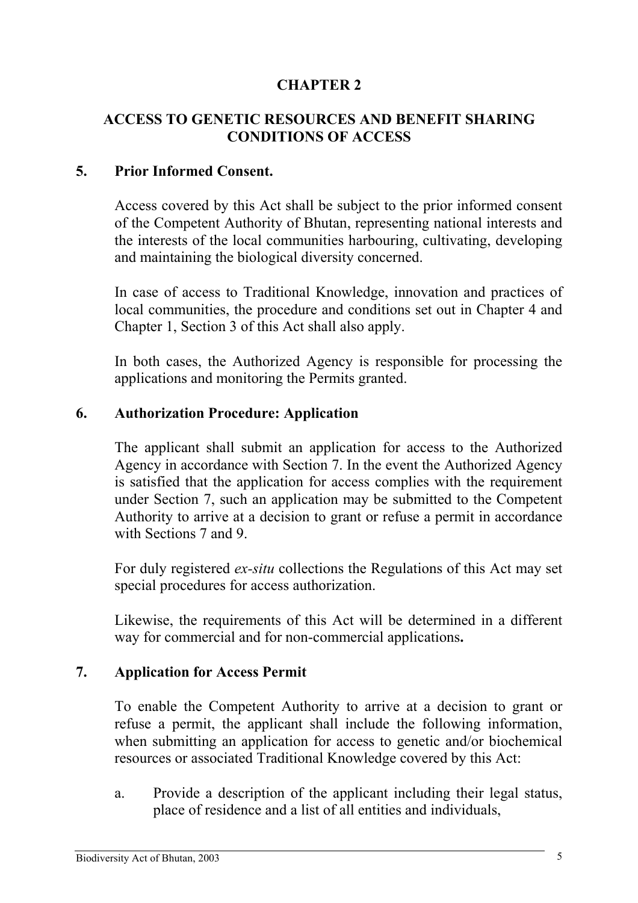# <span id="page-9-0"></span>**ACCESS TO GENETIC RESOURCES AND BENEFIT SHARING CONDITIONS OF ACCESS**

### **5. Prior Informed Consent.**

Access covered by this Act shall be subject to the prior informed consent of the Competent Authority of Bhutan, representing national interests and the interests of the local communities harbouring, cultivating, developing and maintaining the biological diversity concerned.

In case of access to Traditional Knowledge, innovation and practices of local communities, the procedure and conditions set out in Chapter 4 and Chapter 1, Section 3 of this Act shall also apply.

In both cases, the Authorized Agency is responsible for processing the applications and monitoring the Permits granted.

#### **6. Authorization Procedure: Application**

The applicant shall submit an application for access to the Authorized Agency in accordance with Section 7. In the event the Authorized Agency is satisfied that the application for access complies with the requirement under Section 7, such an application may be submitted to the Competent Authority to arrive at a decision to grant or refuse a permit in accordance with Sections 7 and 9.

For duly registered *ex-situ* collections the Regulations of this Act may set special procedures for access authorization.

Likewise, the requirements of this Act will be determined in a different way for commercial and for non-commercial applications**.** 

### **7. Application for Access Permit**

To enable the Competent Authority to arrive at a decision to grant or refuse a permit, the applicant shall include the following information, when submitting an application for access to genetic and/or biochemical resources or associated Traditional Knowledge covered by this Act:

a. Provide a description of the applicant including their legal status, place of residence and a list of all entities and individuals,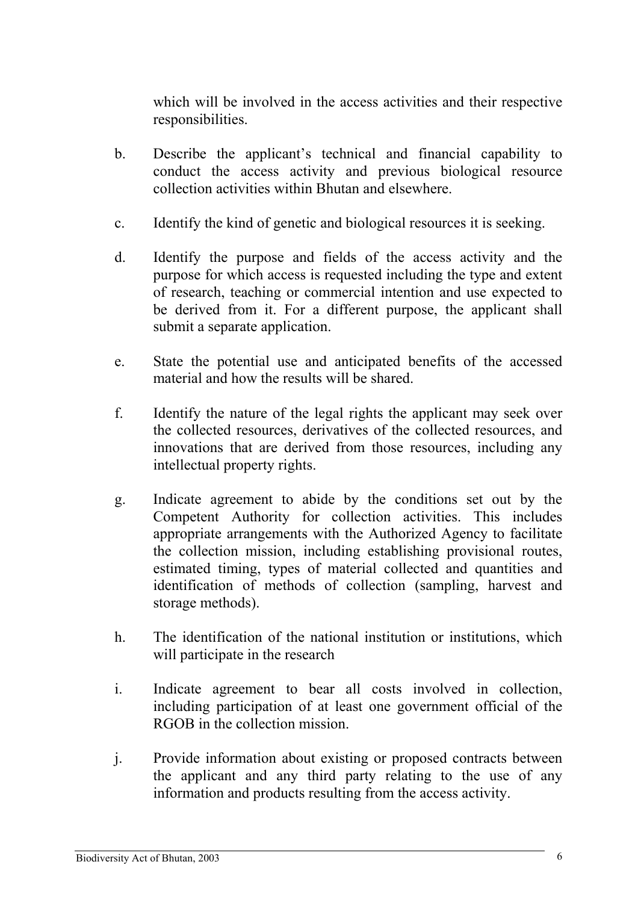which will be involved in the access activities and their respective responsibilities.

- b. Describe the applicant's technical and financial capability to conduct the access activity and previous biological resource collection activities within Bhutan and elsewhere.
- c. Identify the kind of genetic and biological resources it is seeking.
- d. Identify the purpose and fields of the access activity and the purpose for which access is requested including the type and extent of research, teaching or commercial intention and use expected to be derived from it. For a different purpose, the applicant shall submit a separate application.
- e. State the potential use and anticipated benefits of the accessed material and how the results will be shared.
- f. Identify the nature of the legal rights the applicant may seek over the collected resources, derivatives of the collected resources, and innovations that are derived from those resources, including any intellectual property rights.
- g. Indicate agreement to abide by the conditions set out by the Competent Authority for collection activities. This includes appropriate arrangements with the Authorized Agency to facilitate the collection mission, including establishing provisional routes, estimated timing, types of material collected and quantities and identification of methods of collection (sampling, harvest and storage methods).
- h. The identification of the national institution or institutions, which will participate in the research
- i. Indicate agreement to bear all costs involved in collection, including participation of at least one government official of the RGOB in the collection mission.
- j. Provide information about existing or proposed contracts between the applicant and any third party relating to the use of any information and products resulting from the access activity.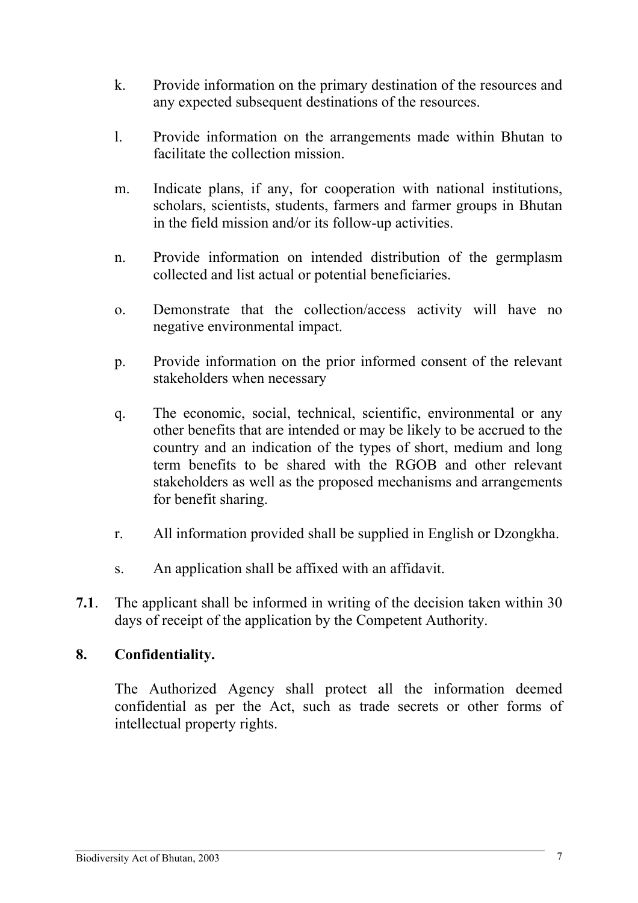- <span id="page-11-0"></span>k. Provide information on the primary destination of the resources and any expected subsequent destinations of the resources.
- l. Provide information on the arrangements made within Bhutan to facilitate the collection mission.
- m. Indicate plans, if any, for cooperation with national institutions, scholars, scientists, students, farmers and farmer groups in Bhutan in the field mission and/or its follow-up activities.
- n. Provide information on intended distribution of the germplasm collected and list actual or potential beneficiaries.
- o. Demonstrate that the collection/access activity will have no negative environmental impact.
- p. Provide information on the prior informed consent of the relevant stakeholders when necessary
- q. The economic, social, technical, scientific, environmental or any other benefits that are intended or may be likely to be accrued to the country and an indication of the types of short, medium and long term benefits to be shared with the RGOB and other relevant stakeholders as well as the proposed mechanisms and arrangements for benefit sharing.
- r. All information provided shall be supplied in English or Dzongkha.
- s. An application shall be affixed with an affidavit.
- **7.1**. The applicant shall be informed in writing of the decision taken within 30 days of receipt of the application by the Competent Authority.

# **8. Confidentiality.**

The Authorized Agency shall protect all the information deemed confidential as per the Act, such as trade secrets or other forms of intellectual property rights.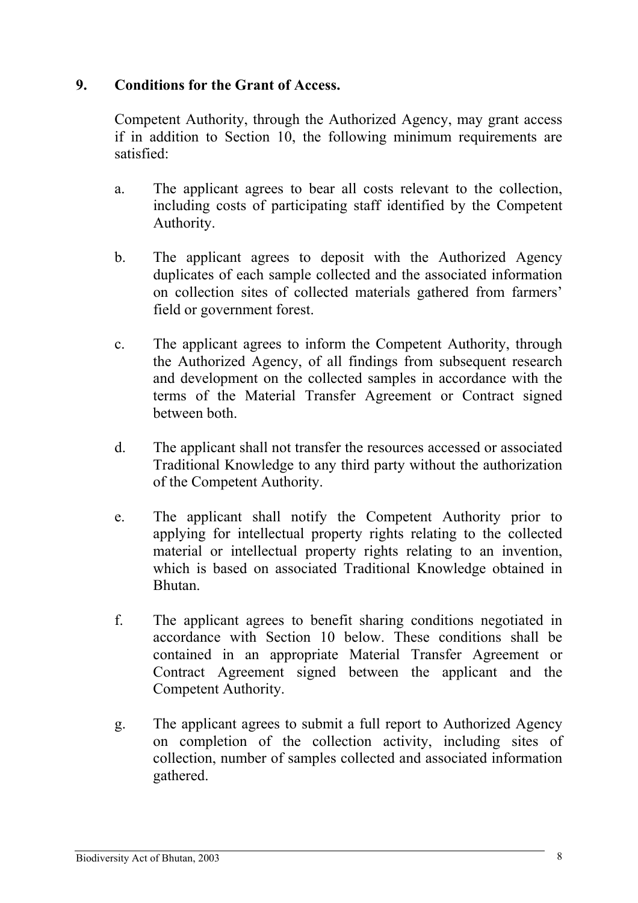# <span id="page-12-0"></span>**9. Conditions for the Grant of Access.**

Competent Authority, through the Authorized Agency, may grant access if in addition to Section 10, the following minimum requirements are satisfied:

- a. The applicant agrees to bear all costs relevant to the collection, including costs of participating staff identified by the Competent Authority.
- b. The applicant agrees to deposit with the Authorized Agency duplicates of each sample collected and the associated information on collection sites of collected materials gathered from farmers' field or government forest.
- c. The applicant agrees to inform the Competent Authority, through the Authorized Agency, of all findings from subsequent research and development on the collected samples in accordance with the terms of the Material Transfer Agreement or Contract signed between both.
- d. The applicant shall not transfer the resources accessed or associated Traditional Knowledge to any third party without the authorization of the Competent Authority.
- e. The applicant shall notify the Competent Authority prior to applying for intellectual property rights relating to the collected material or intellectual property rights relating to an invention, which is based on associated Traditional Knowledge obtained in Bhutan.
- f. The applicant agrees to benefit sharing conditions negotiated in accordance with Section 10 below. These conditions shall be contained in an appropriate Material Transfer Agreement or Contract Agreement signed between the applicant and the Competent Authority.
- g. The applicant agrees to submit a full report to Authorized Agency on completion of the collection activity, including sites of collection, number of samples collected and associated information gathered.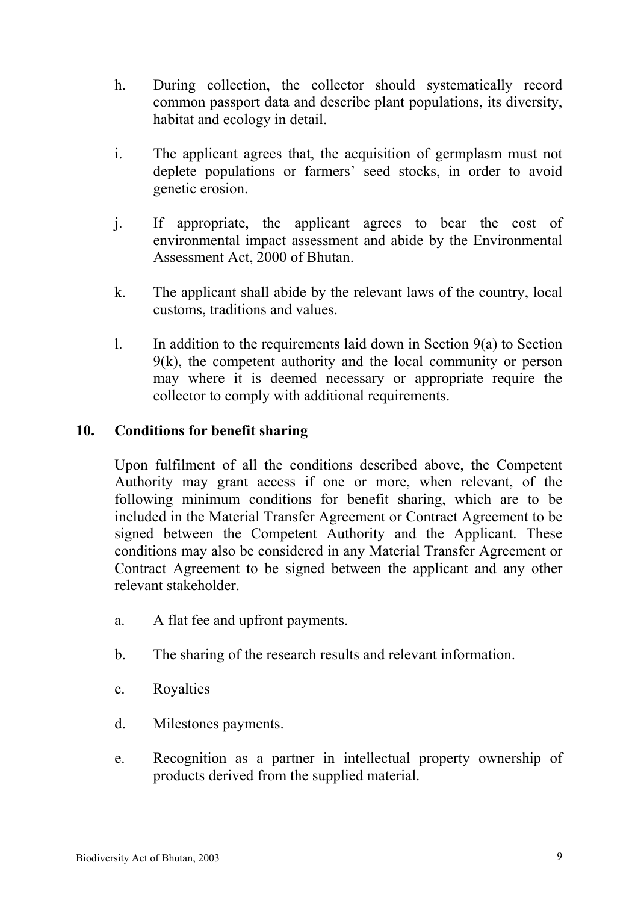- <span id="page-13-0"></span>h. During collection, the collector should systematically record common passport data and describe plant populations, its diversity, habitat and ecology in detail.
- i. The applicant agrees that, the acquisition of germplasm must not deplete populations or farmers' seed stocks, in order to avoid genetic erosion.
- j. If appropriate, the applicant agrees to bear the cost of environmental impact assessment and abide by the Environmental Assessment Act, 2000 of Bhutan.
- k. The applicant shall abide by the relevant laws of the country, local customs, traditions and values.
- 1. In addition to the requirements laid down in Section  $9(a)$  to Section 9(k), the competent authority and the local community or person may where it is deemed necessary or appropriate require the collector to comply with additional requirements.

# **10. Conditions for benefit sharing**

Upon fulfilment of all the conditions described above, the Competent Authority may grant access if one or more, when relevant, of the following minimum conditions for benefit sharing, which are to be included in the Material Transfer Agreement or Contract Agreement to be signed between the Competent Authority and the Applicant. These conditions may also be considered in any Material Transfer Agreement or Contract Agreement to be signed between the applicant and any other relevant stakeholder.

- a. A flat fee and upfront payments.
- b. The sharing of the research results and relevant information.
- c. Royalties
- d. Milestones payments.
- e. Recognition as a partner in intellectual property ownership of products derived from the supplied material.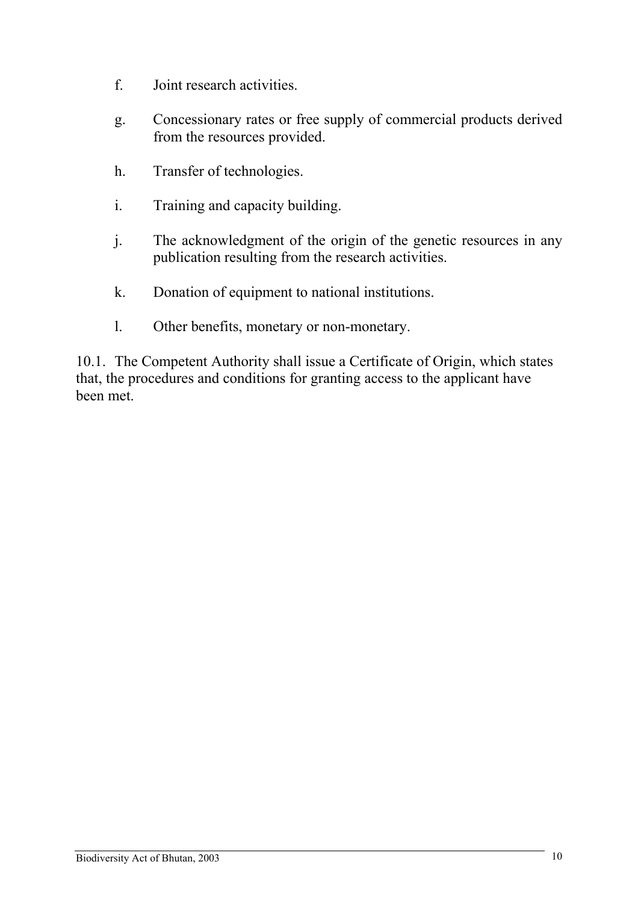- f. Joint research activities.
- g. Concessionary rates or free supply of commercial products derived from the resources provided.
- h. Transfer of technologies.
- i. Training and capacity building.
- j. The acknowledgment of the origin of the genetic resources in any publication resulting from the research activities.
- k. Donation of equipment to national institutions.
- l. Other benefits, monetary or non-monetary.

10.1. The Competent Authority shall issue a Certificate of Origin, which states that, the procedures and conditions for granting access to the applicant have been met.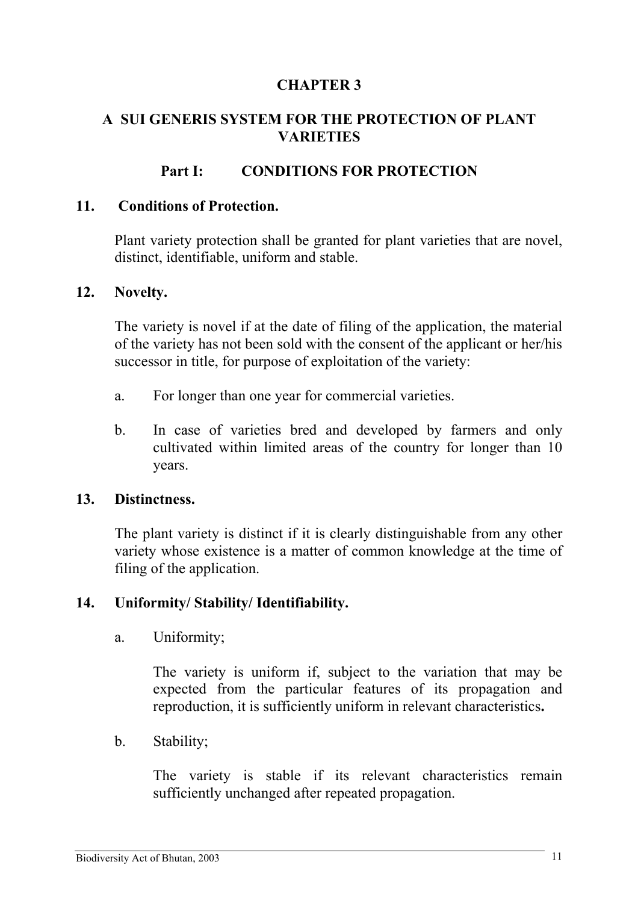# <span id="page-15-0"></span>**A SUI GENERIS SYSTEM FOR THE PROTECTION OF PLANT VARIETIES**

# **Part I: CONDITIONS FOR PROTECTION**

### **11. Conditions of Protection.**

Plant variety protection shall be granted for plant varieties that are novel, distinct, identifiable, uniform and stable.

#### **12. Novelty.**

The variety is novel if at the date of filing of the application, the material of the variety has not been sold with the consent of the applicant or her/his successor in title, for purpose of exploitation of the variety:

- a. For longer than one year for commercial varieties.
- b. In case of varieties bred and developed by farmers and only cultivated within limited areas of the country for longer than 10 years.

#### **13. Distinctness.**

The plant variety is distinct if it is clearly distinguishable from any other variety whose existence is a matter of common knowledge at the time of filing of the application.

#### **14. Uniformity/ Stability/ Identifiability.**

a. Uniformity;

The variety is uniform if, subject to the variation that may be expected from the particular features of its propagation and reproduction, it is sufficiently uniform in relevant characteristics**.** 

b. Stability;

The variety is stable if its relevant characteristics remain sufficiently unchanged after repeated propagation.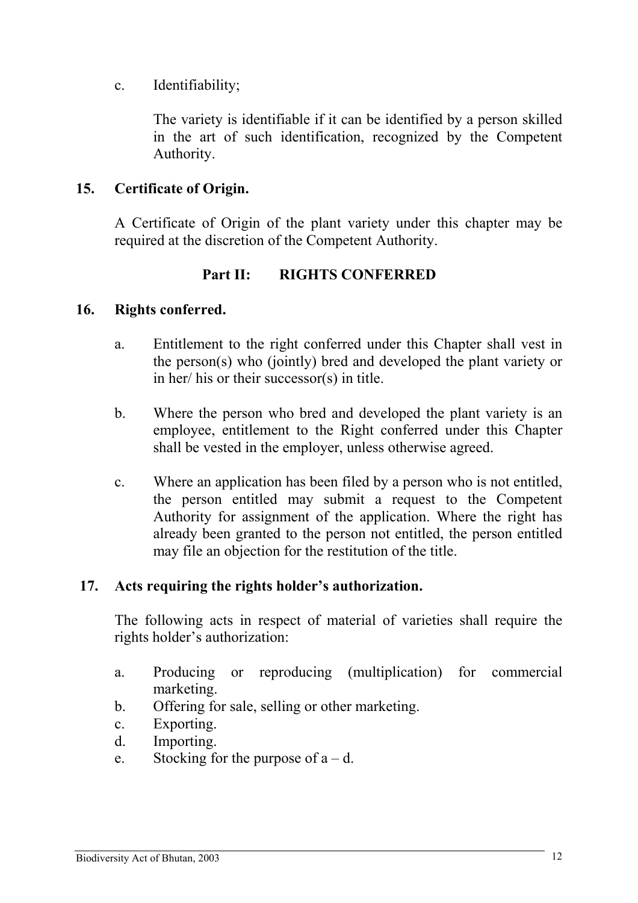<span id="page-16-0"></span>c. Identifiability;

The variety is identifiable if it can be identified by a person skilled in the art of such identification, recognized by the Competent Authority.

# **15. Certificate of Origin.**

A Certificate of Origin of the plant variety under this chapter may be required at the discretion of the Competent Authority.

# **Part II: RIGHTS CONFERRED**

#### **16. Rights conferred.**

- a. Entitlement to the right conferred under this Chapter shall vest in the person(s) who (jointly) bred and developed the plant variety or in her/ his or their successor(s) in title.
- b. Where the person who bred and developed the plant variety is an employee, entitlement to the Right conferred under this Chapter shall be vested in the employer, unless otherwise agreed.
- c. Where an application has been filed by a person who is not entitled, the person entitled may submit a request to the Competent Authority for assignment of the application. Where the right has already been granted to the person not entitled, the person entitled may file an objection for the restitution of the title.

### **17. Acts requiring the rights holder's authorization.**

The following acts in respect of material of varieties shall require the rights holder's authorization:

- a. Producing or reproducing (multiplication) for commercial marketing.
- b. Offering for sale, selling or other marketing.
- c. Exporting.
- d. Importing.
- e. Stocking for the purpose of  $a d$ .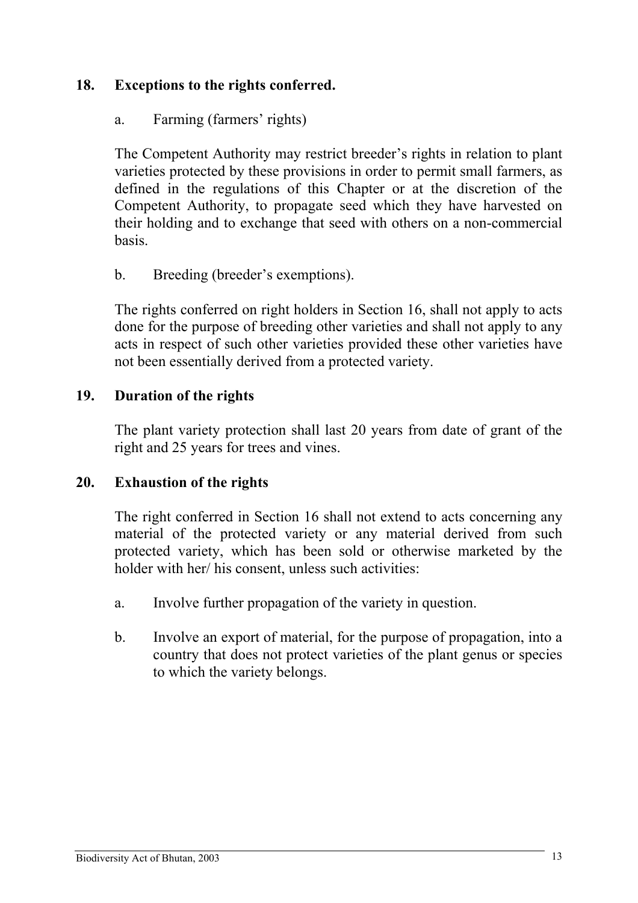# <span id="page-17-0"></span>**18. Exceptions to the rights conferred.**

# a. Farming (farmers' rights)

The Competent Authority may restrict breeder's rights in relation to plant varieties protected by these provisions in order to permit small farmers, as defined in the regulations of this Chapter or at the discretion of the Competent Authority, to propagate seed which they have harvested on their holding and to exchange that seed with others on a non-commercial basis.

# b. Breeding (breeder's exemptions).

The rights conferred on right holders in Section 16, shall not apply to acts done for the purpose of breeding other varieties and shall not apply to any acts in respect of such other varieties provided these other varieties have not been essentially derived from a protected variety.

# **19. Duration of the rights**

The plant variety protection shall last 20 years from date of grant of the right and 25 years for trees and vines.

### **20. Exhaustion of the rights**

The right conferred in Section 16 shall not extend to acts concerning any material of the protected variety or any material derived from such protected variety, which has been sold or otherwise marketed by the holder with her/ his consent, unless such activities:

- a. Involve further propagation of the variety in question.
- b. Involve an export of material, for the purpose of propagation, into a country that does not protect varieties of the plant genus or species to which the variety belongs.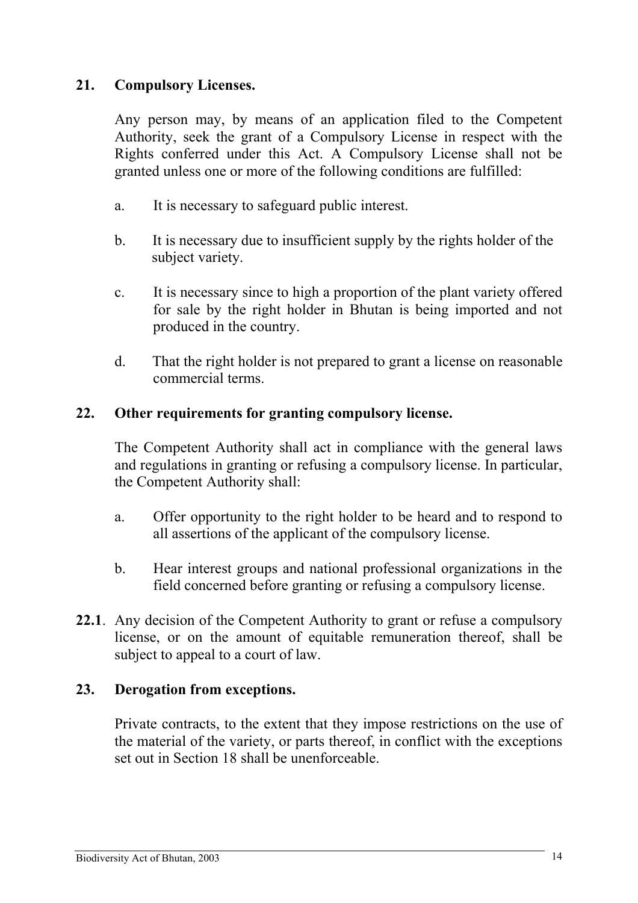# <span id="page-18-0"></span>**21. Compulsory Licenses.**

Any person may, by means of an application filed to the Competent Authority, seek the grant of a Compulsory License in respect with the Rights conferred under this Act. A Compulsory License shall not be granted unless one or more of the following conditions are fulfilled:

- a. It is necessary to safeguard public interest.
- b. It is necessary due to insufficient supply by the rights holder of the subject variety.
- c. It is necessary since to high a proportion of the plant variety offered for sale by the right holder in Bhutan is being imported and not produced in the country.
- d. That the right holder is not prepared to grant a license on reasonable commercial terms.

### **22. Other requirements for granting compulsory license.**

The Competent Authority shall act in compliance with the general laws and regulations in granting or refusing a compulsory license. In particular, the Competent Authority shall:

- a. Offer opportunity to the right holder to be heard and to respond to all assertions of the applicant of the compulsory license.
- b. Hear interest groups and national professional organizations in the field concerned before granting or refusing a compulsory license.
- **22.1**. Any decision of the Competent Authority to grant or refuse a compulsory license, or on the amount of equitable remuneration thereof, shall be subject to appeal to a court of law.

# **23. Derogation from exceptions.**

Private contracts, to the extent that they impose restrictions on the use of the material of the variety, or parts thereof, in conflict with the exceptions set out in Section 18 shall be unenforceable.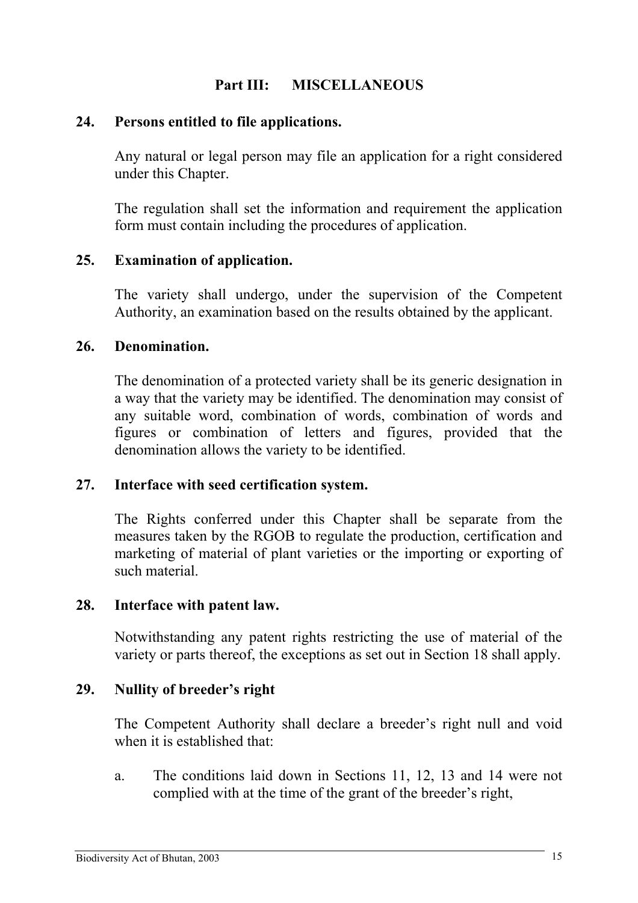# **Part III: MISCELLANEOUS**

### <span id="page-19-0"></span>**24. Persons entitled to file applications.**

Any natural or legal person may file an application for a right considered under this Chapter.

The regulation shall set the information and requirement the application form must contain including the procedures of application.

### **25. Examination of application.**

The variety shall undergo, under the supervision of the Competent Authority, an examination based on the results obtained by the applicant.

### **26. Denomination.**

The denomination of a protected variety shall be its generic designation in a way that the variety may be identified. The denomination may consist of any suitable word, combination of words, combination of words and figures or combination of letters and figures, provided that the denomination allows the variety to be identified.

### **27. Interface with seed certification system.**

The Rights conferred under this Chapter shall be separate from the measures taken by the RGOB to regulate the production, certification and marketing of material of plant varieties or the importing or exporting of such material.

#### **28. Interface with patent law.**

Notwithstanding any patent rights restricting the use of material of the variety or parts thereof, the exceptions as set out in Section 18 shall apply.

### **29. Nullity of breeder's right**

The Competent Authority shall declare a breeder's right null and void when it is established that:

a. The conditions laid down in Sections 11, 12, 13 and 14 were not complied with at the time of the grant of the breeder's right,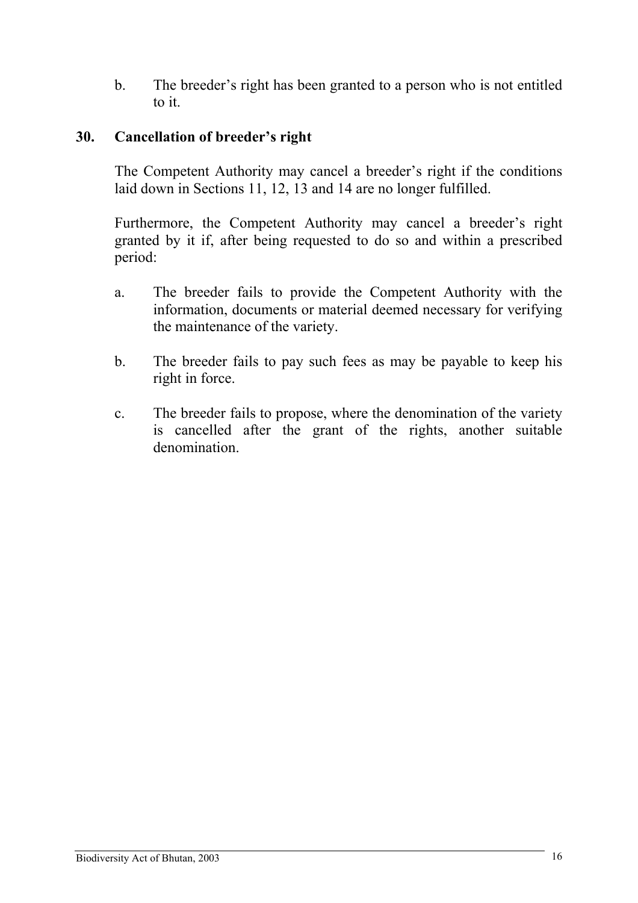<span id="page-20-0"></span>b. The breeder's right has been granted to a person who is not entitled to it.

# **30. Cancellation of breeder's right**

The Competent Authority may cancel a breeder's right if the conditions laid down in Sections 11, 12, 13 and 14 are no longer fulfilled.

Furthermore, the Competent Authority may cancel a breeder's right granted by it if, after being requested to do so and within a prescribed period:

- a. The breeder fails to provide the Competent Authority with the information, documents or material deemed necessary for verifying the maintenance of the variety.
- b. The breeder fails to pay such fees as may be payable to keep his right in force.
- c. The breeder fails to propose, where the denomination of the variety is cancelled after the grant of the rights, another suitable denomination.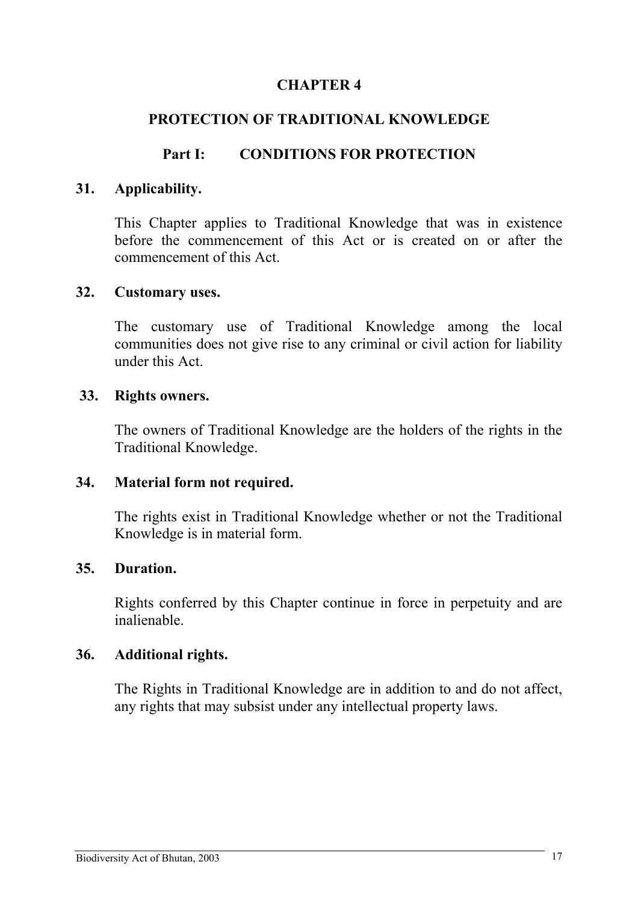# <span id="page-21-0"></span>**PROTECTION OF TRADITIONAL KNOWLEDGE**

# **Part I: CONDITIONS FOR PROTECTION**

### **31. Applicability.**

This Chapter applies to Traditional Knowledge that was in existence before the commencement of this Act or is created on or after the commencement of this Act.

#### **32. Customary uses.**

The customary use of Traditional Knowledge among the local communities does not give rise to any criminal or civil action for liability under this Act.

### **33. Rights owners.**

The owners of Traditional Knowledge are the holders of the rights in the Traditional Knowledge.

#### **34. Material form not required.**

The rights exist in Traditional Knowledge whether or not the Traditional Knowledge is in material form.

### **35. Duration.**

Rights conferred by this Chapter continue in force in perpetuity and are inalienable.

#### **36. Additional rights.**

The Rights in Traditional Knowledge are in addition to and do not affect, any rights that may subsist under any intellectual property laws.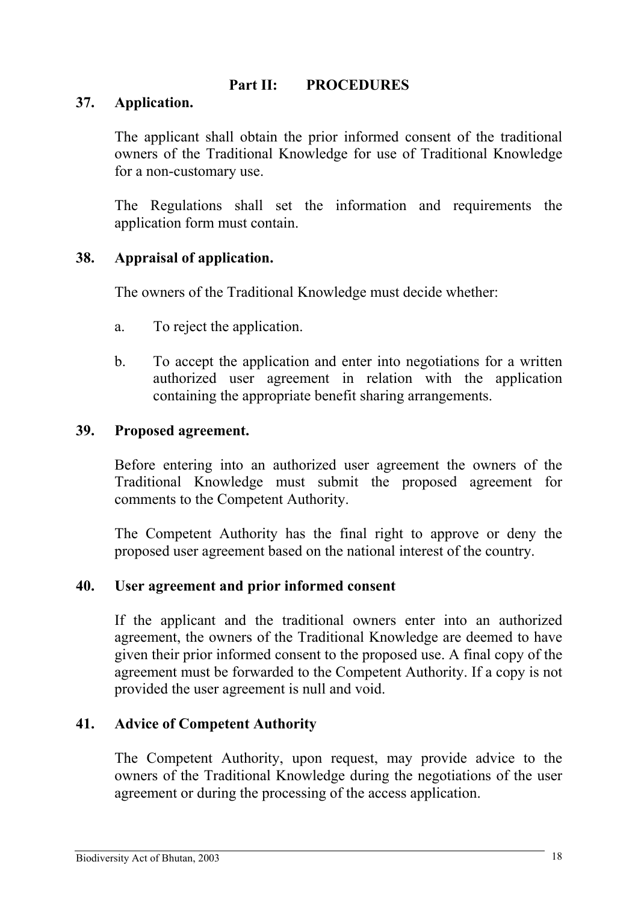# **Part II: PROCEDURES**

### <span id="page-22-0"></span>**37. Application.**

The applicant shall obtain the prior informed consent of the traditional owners of the Traditional Knowledge for use of Traditional Knowledge for a non-customary use.

The Regulations shall set the information and requirements the application form must contain.

### **38. Appraisal of application.**

The owners of the Traditional Knowledge must decide whether:

- a. To reject the application.
- b. To accept the application and enter into negotiations for a written authorized user agreement in relation with the application containing the appropriate benefit sharing arrangements.

### **39. Proposed agreement.**

Before entering into an authorized user agreement the owners of the Traditional Knowledge must submit the proposed agreement for comments to the Competent Authority.

The Competent Authority has the final right to approve or deny the proposed user agreement based on the national interest of the country.

### **40. User agreement and prior informed consent**

If the applicant and the traditional owners enter into an authorized agreement, the owners of the Traditional Knowledge are deemed to have given their prior informed consent to the proposed use. A final copy of the agreement must be forwarded to the Competent Authority. If a copy is not provided the user agreement is null and void.

### **41. Advice of Competent Authority**

The Competent Authority, upon request, may provide advice to the owners of the Traditional Knowledge during the negotiations of the user agreement or during the processing of the access application.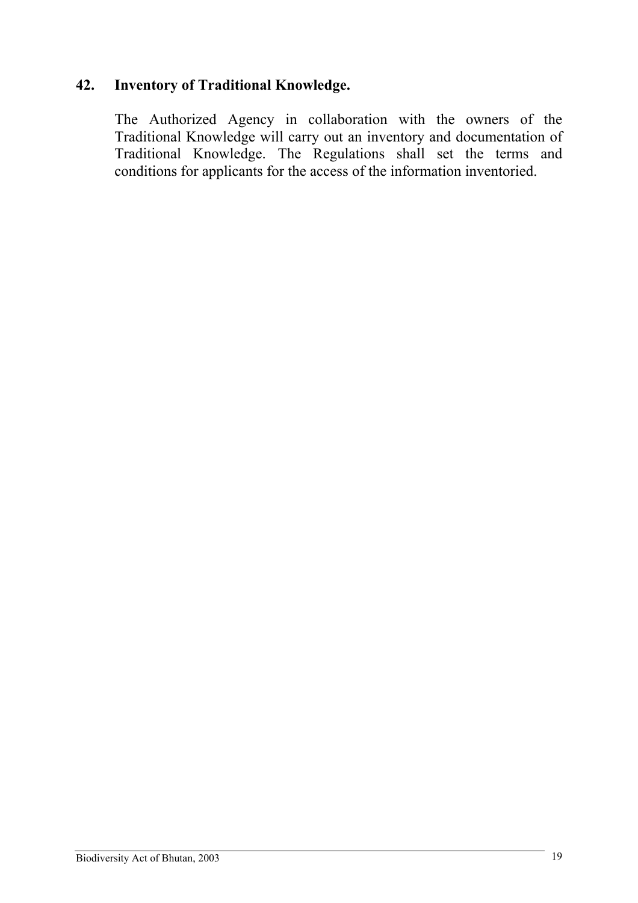# <span id="page-23-0"></span>**42. Inventory of Traditional Knowledge.**

The Authorized Agency in collaboration with the owners of the Traditional Knowledge will carry out an inventory and documentation of Traditional Knowledge. The Regulations shall set the terms and conditions for applicants for the access of the information inventoried.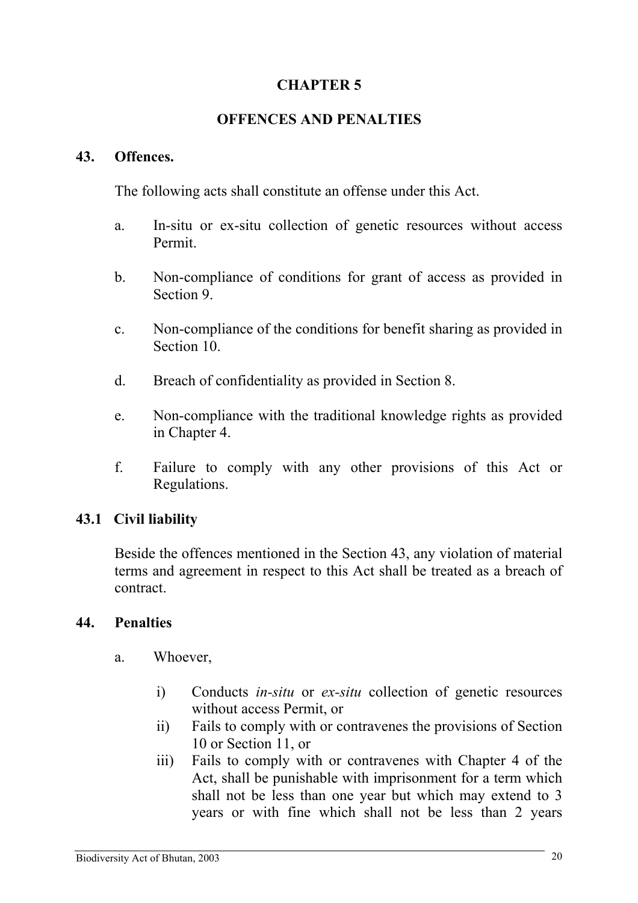# **OFFENCES AND PENALTIES**

### <span id="page-24-0"></span>**43. Offences.**

The following acts shall constitute an offense under this Act.

- a. In-situ or ex-situ collection of genetic resources without access Permit.
- b. Non-compliance of conditions for grant of access as provided in Section 9.
- c. Non-compliance of the conditions for benefit sharing as provided in Section 10.
- d. Breach of confidentiality as provided in Section 8.
- e. Non-compliance with the traditional knowledge rights as provided in Chapter 4.
- f. Failure to comply with any other provisions of this Act or Regulations.

# **43.1 Civil liability**

Beside the offences mentioned in the Section 43, any violation of material terms and agreement in respect to this Act shall be treated as a breach of contract.

### **44. Penalties**

- a. Whoever,
	- i) Conducts *in-situ* or *ex-situ* collection of genetic resources without access Permit, or
	- ii) Fails to comply with or contravenes the provisions of Section 10 or Section 11, or
	- iii) Fails to comply with or contravenes with Chapter 4 of the Act, shall be punishable with imprisonment for a term which shall not be less than one year but which may extend to 3 years or with fine which shall not be less than 2 years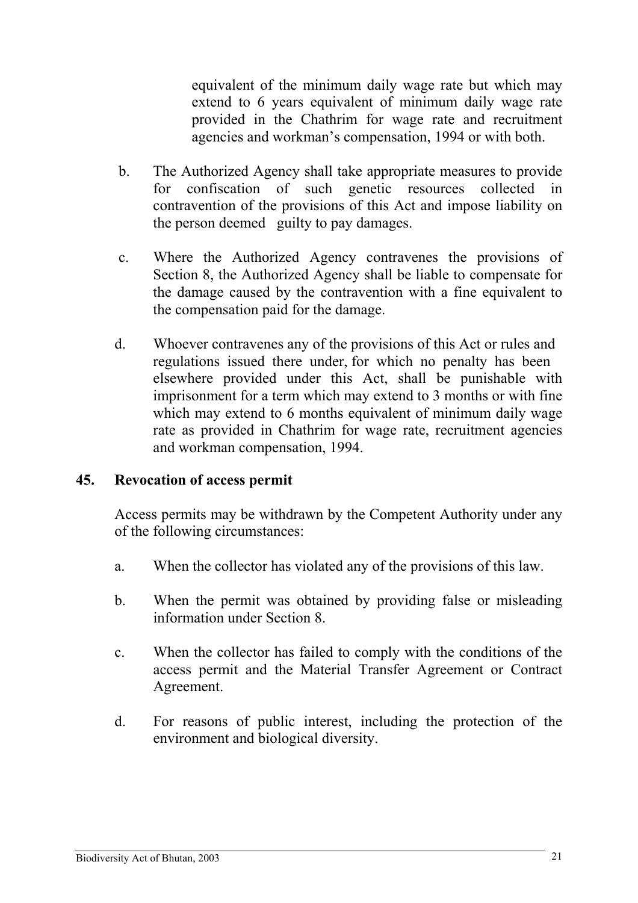<span id="page-25-0"></span>equivalent of the minimum daily wage rate but which may extend to 6 years equivalent of minimum daily wage rate provided in the Chathrim for wage rate and recruitment agencies and workman's compensation, 1994 or with both.

- b. The Authorized Agency shall take appropriate measures to provide for confiscation of such genetic resources collected in contravention of the provisions of this Act and impose liability on the person deemed guilty to pay damages.
- c. Where the Authorized Agency contravenes the provisions of Section 8, the Authorized Agency shall be liable to compensate for the damage caused by the contravention with a fine equivalent to the compensation paid for the damage.
- d. Whoever contravenes any of the provisions of this Act or rules and regulations issued there under, for which no penalty has been elsewhere provided under this Act, shall be punishable with imprisonment for a term which may extend to 3 months or with fine which may extend to 6 months equivalent of minimum daily wage rate as provided in Chathrim for wage rate, recruitment agencies and workman compensation, 1994.

### **45. Revocation of access permit**

Access permits may be withdrawn by the Competent Authority under any of the following circumstances:

- a. When the collector has violated any of the provisions of this law.
- b. When the permit was obtained by providing false or misleading information under Section 8.
- c. When the collector has failed to comply with the conditions of the access permit and the Material Transfer Agreement or Contract Agreement.
- d. For reasons of public interest, including the protection of the environment and biological diversity.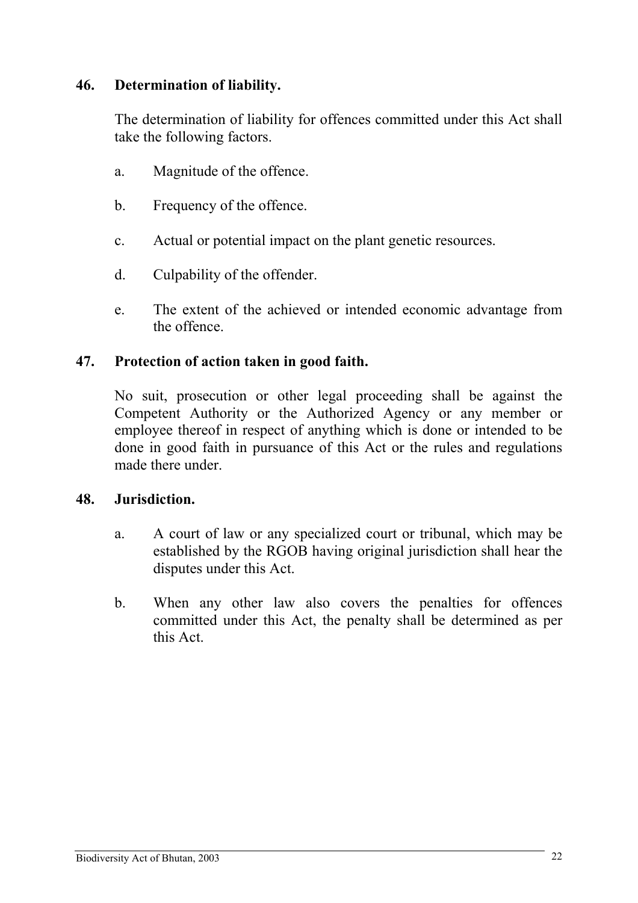# <span id="page-26-0"></span>**46. Determination of liability.**

The determination of liability for offences committed under this Act shall take the following factors.

- a. Magnitude of the offence.
- b. Frequency of the offence.
- c. Actual or potential impact on the plant genetic resources.
- d. Culpability of the offender.
- e. The extent of the achieved or intended economic advantage from the offence.

### **47. Protection of action taken in good faith.**

No suit, prosecution or other legal proceeding shall be against the Competent Authority or the Authorized Agency or any member or employee thereof in respect of anything which is done or intended to be done in good faith in pursuance of this Act or the rules and regulations made there under

### **48. Jurisdiction.**

- a. A court of law or any specialized court or tribunal, which may be established by the RGOB having original jurisdiction shall hear the disputes under this Act.
- b. When any other law also covers the penalties for offences committed under this Act, the penalty shall be determined as per this Act.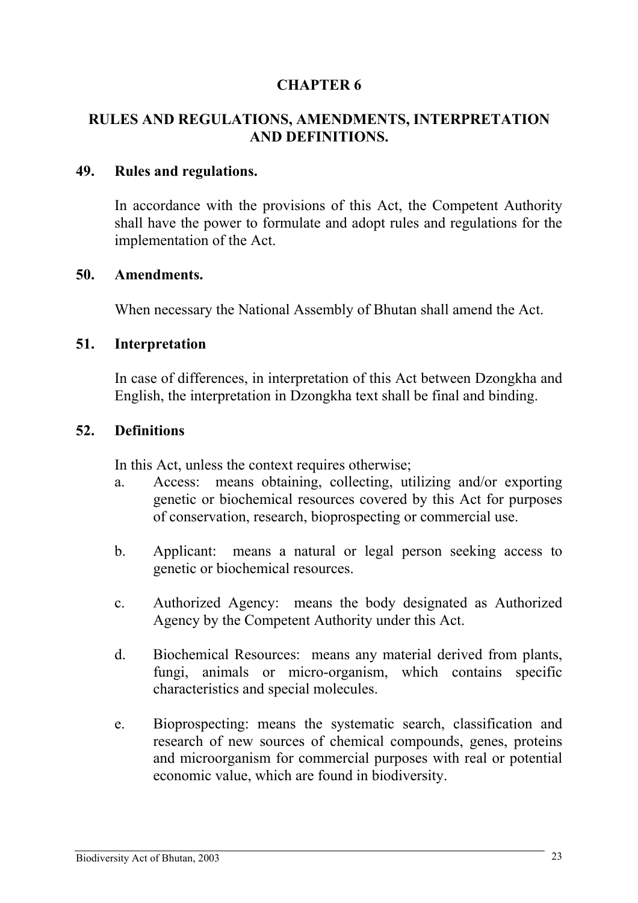# <span id="page-27-0"></span>**RULES AND REGULATIONS, AMENDMENTS, INTERPRETATION AND DEFINITIONS.**

#### **49. Rules and regulations.**

In accordance with the provisions of this Act, the Competent Authority shall have the power to formulate and adopt rules and regulations for the implementation of the Act.

#### **50. Amendments.**

When necessary the National Assembly of Bhutan shall amend the Act.

#### **51. Interpretation**

In case of differences, in interpretation of this Act between Dzongkha and English, the interpretation in Dzongkha text shall be final and binding.

#### **52. Definitions**

In this Act, unless the context requires otherwise;

- a. Access: means obtaining, collecting, utilizing and/or exporting genetic or biochemical resources covered by this Act for purposes of conservation, research, bioprospecting or commercial use.
- b. Applicant: means a natural or legal person seeking access to genetic or biochemical resources.
- c. Authorized Agency: means the body designated as Authorized Agency by the Competent Authority under this Act.
- d. Biochemical Resources: means any material derived from plants, fungi, animals or micro-organism, which contains specific characteristics and special molecules.
- e. Bioprospecting: means the systematic search, classification and research of new sources of chemical compounds, genes, proteins and microorganism for commercial purposes with real or potential economic value, which are found in biodiversity.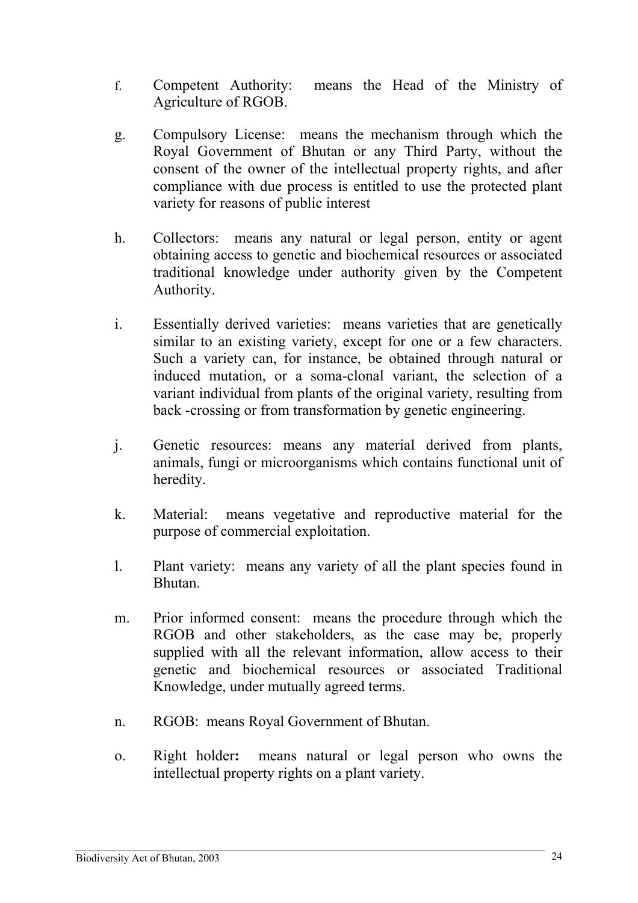- f. Competent Authority: means the Head of the Ministry of Agriculture of RGOB.
- g. Compulsory License: means the mechanism through which the Royal Government of Bhutan or any Third Party, without the consent of the owner of the intellectual property rights, and after compliance with due process is entitled to use the protected plant variety for reasons of public interest
- h. Collectors: means any natural or legal person, entity or agent obtaining access to genetic and biochemical resources or associated traditional knowledge under authority given by the Competent Authority.
- i. Essentially derived varieties: means varieties that are genetically similar to an existing variety, except for one or a few characters. Such a variety can, for instance, be obtained through natural or induced mutation, or a soma-clonal variant, the selection of a variant individual from plants of the original variety, resulting from back -crossing or from transformation by genetic engineering.
- j. Genetic resources: means any material derived from plants, animals, fungi or microorganisms which contains functional unit of heredity.
- k. Material: means vegetative and reproductive material for the purpose of commercial exploitation.
- l. Plant variety: means any variety of all the plant species found in Bhutan.
- m. Prior informed consent: means the procedure through which the RGOB and other stakeholders, as the case may be, properly supplied with all the relevant information, allow access to their genetic and biochemical resources or associated Traditional Knowledge, under mutually agreed terms.
- n. RGOB: means Royal Government of Bhutan.
- o. Right holder**:** means natural or legal person who owns the intellectual property rights on a plant variety.